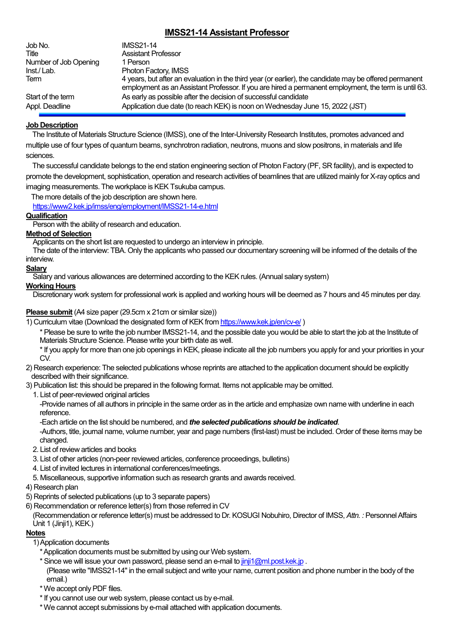# **IMSS21-14 Assistant Professor**

| Job No.               | <b>IMSS21-14</b>                                                                                                                                                                                                |
|-----------------------|-----------------------------------------------------------------------------------------------------------------------------------------------------------------------------------------------------------------|
| Title                 | <b>Assistant Professor</b>                                                                                                                                                                                      |
| Number of Job Opening | 1 Person                                                                                                                                                                                                        |
| Inst./Lab.            | Photon Factory, IMSS                                                                                                                                                                                            |
| Term                  | 4 years, but after an evaluation in the third year (or earlier), the candidate may be offered permanent<br>employment as an Assistant Professor. If you are hired a permanent employment, the term is until 63. |
| Start of the term     | As early as possible after the decision of successful candidate                                                                                                                                                 |
| Appl. Deadline        | Application due date (to reach KEK) is noon on Wednesday June 15, 2022 (JST)                                                                                                                                    |

## **Job Description**

The Institute of Materials Structure Science (IMSS), one of the Inter-University Research Institutes, promotes advanced and multiple use of four types of quantum beams, synchrotron radiation, neutrons, muons and slow positrons, in materials and life sciences.

The successful candidate belongs to the end station engineering section of Photon Factory (PF, SR facility), and is expected to promote the development, sophistication, operation and research activities of beamlines that are utilized mainly for X-ray optics and imaging measurements. The workplace is KEK Tsukuba campus.

The more details of the job description are shown here.

<https://www2.kek.jp/imss/eng/employment/IMSS21-14-e.html>

## **Qualification**

Person with the ability of research and education.

### **Method of Selection**

Applicants on the short list are requested to undergo an interview in principle.

The date of the interview: TBA. Only the applicants who passed our documentary screening will be informed of the details of the interview.

### **Salary**

Salary and various allowances are determined according to the KEK rules. (Annual salary system)

### **Working Hours**

Discretionary work system for professional work is applied and working hours will be deemed as 7 hours and 45 minutes per day.

## **Please submit** (A4 size paper (29.5cm x 21cm or similar size))

1) Curriculum vitae (Download the designated form of KEK from <https://www.kek.jp/en/cv-e/> )

\* Please be sure to write the job number IMSS21-14, and the possible date you would be able to start the job at the Institute of Materials Structure Science. Please write your birth date as well.

\* If you apply for more than one job openings in KEK, please indicate all the job numbers you apply for and your priorities in your CV<sub>.</sub>

2) Research experience: The selected publications whose reprints are attached to the application document should be explicitly described with their significance.

3) Publication list: this should be prepared in the following format. Items not applicable may be omitted.

1. List of peer-reviewed original articles

-Provide names of all authors in principle in the same order as in the article and emphasize own name with underline in each reference.

-Each article on the list should be numbered, and *the selected publications should be indicated*.

-Authors, title, journal name, volume number, year and page numbers (first-last) must be included. Order of these items may be changed.

- 2. List of review articles and books
- 3. List of other articles (non-peer reviewed articles, conference proceedings, bulletins)
- 4. List of invited lectures in international conferences/meetings.
- 5. Miscellaneous, supportive information such as research grants and awards received.
- 4) Research plan
- 5) Reprints of selected publications (up to 3 separate papers)
- 6) Recommendation or reference letter(s) from those referred in CV

(Recommendation or reference letter(s) must be addressed to Dr. KOSUGI Nobuhiro, Director of IMSS, *Attn. :* Personnel Affairs Unit 1 (Jinji1), KEK.)

## **Notes**

- 1) Application documents
	- \* Application documents must be submitted by using our Web system.
	- \* Since we will issue your own password, please send an e-mail to [jinji1@ml.post.kek.jp](mailto:jinji1@ml.post.kek.jp) . (Please write "IMSS21-14" in the email subject and write your name, current position and phone number in the body of the email.)
	- \*We accept only PDF files.
	- \* If you cannot use our web system, please contact us by e-mail.
	- \* We cannot accept submissions by e-mail attached with application documents.